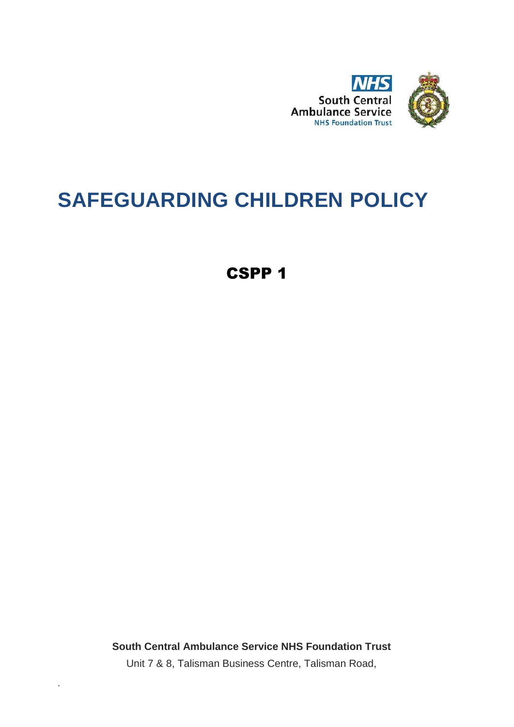

# **SAFEGUARDING CHILDREN POLICY**

CSPP 1

**South Central Ambulance Service NHS Foundation Trust** Unit 7 & 8, Talisman Business Centre, Talisman Road,

.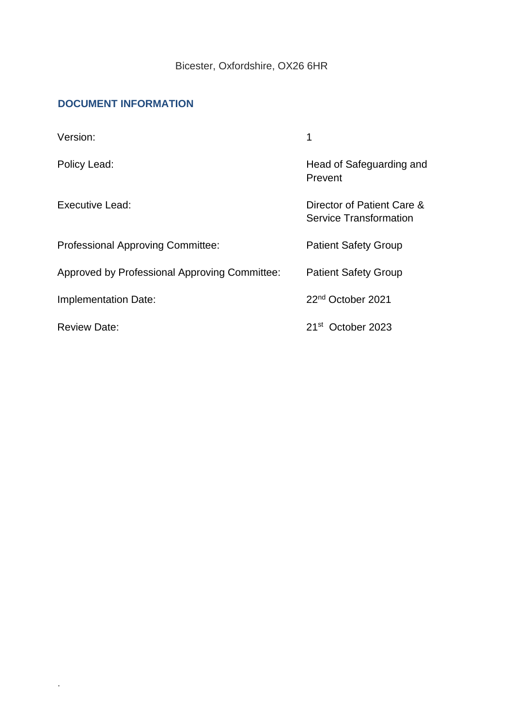# <span id="page-1-0"></span>**DOCUMENT INFORMATION**

.

| Version:                                      | 1                                                           |
|-----------------------------------------------|-------------------------------------------------------------|
| Policy Lead:                                  | Head of Safeguarding and<br>Prevent                         |
| Executive Lead:                               | Director of Patient Care &<br><b>Service Transformation</b> |
| <b>Professional Approving Committee:</b>      | <b>Patient Safety Group</b>                                 |
| Approved by Professional Approving Committee: | <b>Patient Safety Group</b>                                 |
| <b>Implementation Date:</b>                   | 22 <sup>nd</sup> October 2021                               |
| <b>Review Date:</b>                           | October 2023<br>21st                                        |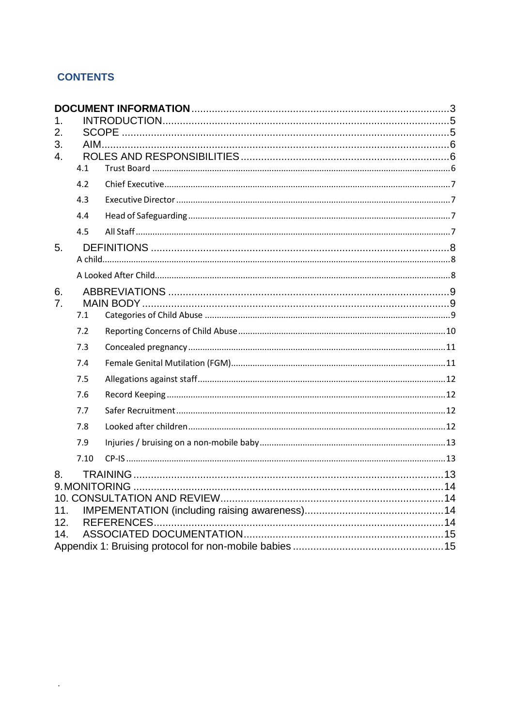# **CONTENTS**

 $\sim 10^{-10}$ 

| 2.<br>3.<br>4.<br>4.1<br>4.2<br>4.3<br>4.4<br>4.5<br>7.1<br>7.2<br>7.3<br>7.4<br>7.5<br>7.6<br>7.7<br>7.8<br>7.9<br>7.10 |                |  |  |
|--------------------------------------------------------------------------------------------------------------------------|----------------|--|--|
|                                                                                                                          | 1.             |  |  |
|                                                                                                                          |                |  |  |
|                                                                                                                          |                |  |  |
|                                                                                                                          |                |  |  |
|                                                                                                                          |                |  |  |
|                                                                                                                          |                |  |  |
|                                                                                                                          |                |  |  |
|                                                                                                                          |                |  |  |
|                                                                                                                          | 5.             |  |  |
|                                                                                                                          |                |  |  |
|                                                                                                                          | 6.             |  |  |
|                                                                                                                          | 7 <sub>1</sub> |  |  |
|                                                                                                                          |                |  |  |
|                                                                                                                          |                |  |  |
|                                                                                                                          |                |  |  |
|                                                                                                                          |                |  |  |
|                                                                                                                          |                |  |  |
|                                                                                                                          |                |  |  |
|                                                                                                                          |                |  |  |
|                                                                                                                          |                |  |  |
|                                                                                                                          |                |  |  |
|                                                                                                                          |                |  |  |
|                                                                                                                          | 8.             |  |  |
|                                                                                                                          |                |  |  |
|                                                                                                                          | 11.            |  |  |
|                                                                                                                          | 12.            |  |  |
|                                                                                                                          | 14.            |  |  |
|                                                                                                                          |                |  |  |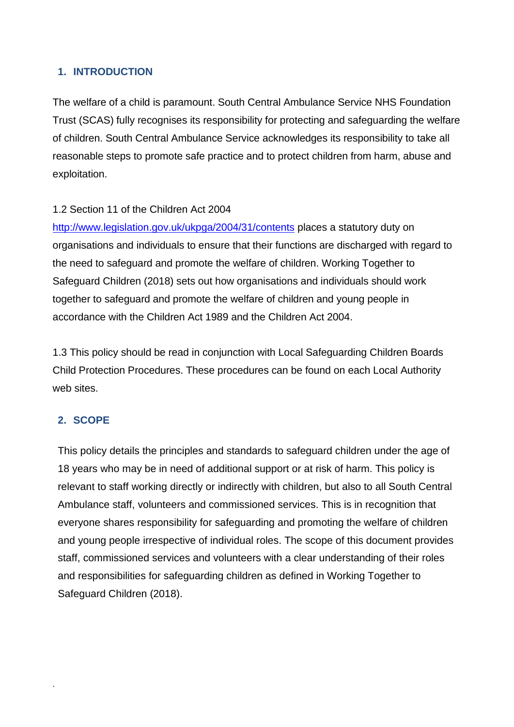# <span id="page-3-0"></span>**1. INTRODUCTION**

The welfare of a child is paramount. South Central Ambulance Service NHS Foundation Trust (SCAS) fully recognises its responsibility for protecting and safeguarding the welfare of children. South Central Ambulance Service acknowledges its responsibility to take all reasonable steps to promote safe practice and to protect children from harm, abuse and exploitation.

# 1.2 Section 11 of the Children Act 2004

<http://www.legislation.gov.uk/ukpga/2004/31/contents> places a statutory duty on organisations and individuals to ensure that their functions are discharged with regard to the need to safeguard and promote the welfare of children. Working Together to Safeguard Children (2018) sets out how organisations and individuals should work together to safeguard and promote the welfare of children and young people in accordance with the Children Act 1989 and the Children Act 2004.

1.3 This policy should be read in conjunction with Local Safeguarding Children Boards Child Protection Procedures. These procedures can be found on each Local Authority web sites.

# <span id="page-3-1"></span>**2. SCOPE**

.

This policy details the principles and standards to safeguard children under the age of 18 years who may be in need of additional support or at risk of harm. This policy is relevant to staff working directly or indirectly with children, but also to all South Central Ambulance staff, volunteers and commissioned services. This is in recognition that everyone shares responsibility for safeguarding and promoting the welfare of children and young people irrespective of individual roles. The scope of this document provides staff, commissioned services and volunteers with a clear understanding of their roles and responsibilities for safeguarding children as defined in Working Together to Safeguard Children (2018).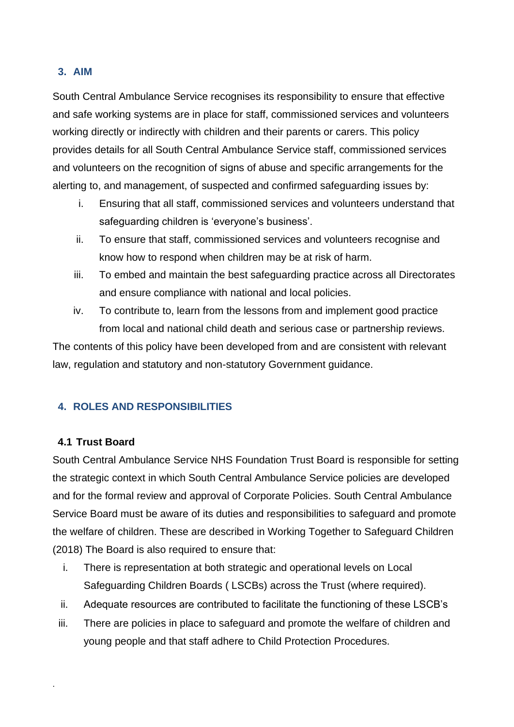## <span id="page-4-0"></span>**3. AIM**

South Central Ambulance Service recognises its responsibility to ensure that effective and safe working systems are in place for staff, commissioned services and volunteers working directly or indirectly with children and their parents or carers. This policy provides details for all South Central Ambulance Service staff, commissioned services and volunteers on the recognition of signs of abuse and specific arrangements for the alerting to, and management, of suspected and confirmed safeguarding issues by:

- i. Ensuring that all staff, commissioned services and volunteers understand that safeguarding children is 'everyone's business'.
- ii. To ensure that staff, commissioned services and volunteers recognise and know how to respond when children may be at risk of harm.
- iii. To embed and maintain the best safeguarding practice across all Directorates and ensure compliance with national and local policies.
- iv. To contribute to, learn from the lessons from and implement good practice from local and national child death and serious case or partnership reviews.

The contents of this policy have been developed from and are consistent with relevant law, regulation and statutory and non-statutory Government guidance.

# <span id="page-4-1"></span>**4. ROLES AND RESPONSIBILITIES**

# <span id="page-4-2"></span>**4.1 Trust Board**

.

South Central Ambulance Service NHS Foundation Trust Board is responsible for setting the strategic context in which South Central Ambulance Service policies are developed and for the formal review and approval of Corporate Policies. South Central Ambulance Service Board must be aware of its duties and responsibilities to safeguard and promote the welfare of children. These are described in Working Together to Safeguard Children (2018) The Board is also required to ensure that:

- i. There is representation at both strategic and operational levels on Local Safeguarding Children Boards ( LSCBs) across the Trust (where required).
- ii. Adequate resources are contributed to facilitate the functioning of these LSCB's
- iii. There are policies in place to safeguard and promote the welfare of children and young people and that staff adhere to Child Protection Procedures.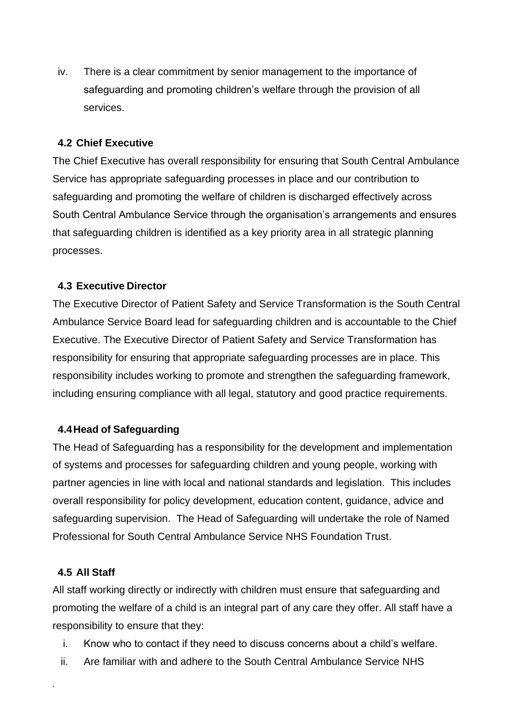iv. There is a clear commitment by senior management to the importance of safeguarding and promoting children's welfare through the provision of all services.

## <span id="page-5-0"></span>**4.2 Chief Executive**

The Chief Executive has overall responsibility for ensuring that South Central Ambulance Service has appropriate safeguarding processes in place and our contribution to safeguarding and promoting the welfare of children is discharged effectively across South Central Ambulance Service through the organisation's arrangements and ensures that safeguarding children is identified as a key priority area in all strategic planning processes.

# <span id="page-5-1"></span>**4.3 Executive Director**

The Executive Director of Patient Safety and Service Transformation is the South Central Ambulance Service Board lead for safeguarding children and is accountable to the Chief Executive. The Executive Director of Patient Safety and Service Transformation has responsibility for ensuring that appropriate safeguarding processes are in place. This responsibility includes working to promote and strengthen the safeguarding framework, including ensuring compliance with all legal, statutory and good practice requirements.

# <span id="page-5-2"></span>**4.4Head of Safeguarding**

The Head of Safeguarding has a responsibility for the development and implementation of systems and processes for safeguarding children and young people, working with partner agencies in line with local and national standards and legislation. This includes overall responsibility for policy development, education content, guidance, advice and safeguarding supervision. The Head of Safeguarding will undertake the role of Named Professional for South Central Ambulance Service NHS Foundation Trust.

# <span id="page-5-3"></span>**4.5 All Staff**

.

All staff working directly or indirectly with children must ensure that safeguarding and promoting the welfare of a child is an integral part of any care they offer. All staff have a responsibility to ensure that they:

- i. Know who to contact if they need to discuss concerns about a child's welfare.
- ii. Are familiar with and adhere to the South Central Ambulance Service NHS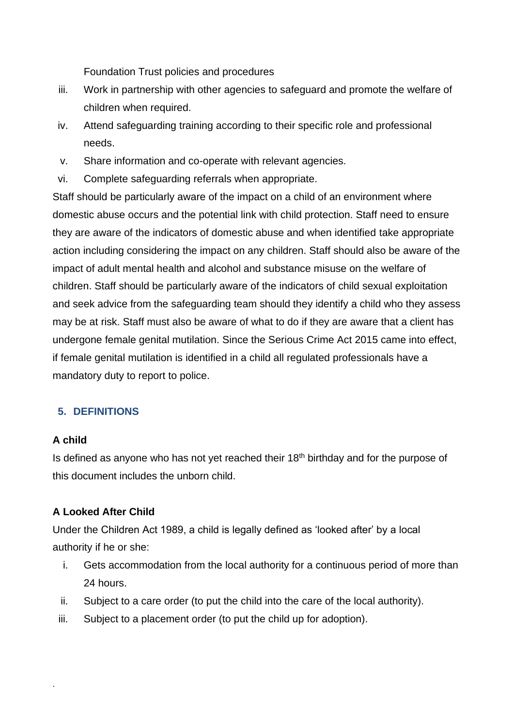Foundation Trust policies and procedures

- iii. Work in partnership with other agencies to safeguard and promote the welfare of children when required.
- iv. Attend safeguarding training according to their specific role and professional needs.
- v. Share information and co-operate with relevant agencies.
- vi. Complete safeguarding referrals when appropriate.

Staff should be particularly aware of the impact on a child of an environment where domestic abuse occurs and the potential link with child protection. Staff need to ensure they are aware of the indicators of domestic abuse and when identified take appropriate action including considering the impact on any children. Staff should also be aware of the impact of adult mental health and alcohol and substance misuse on the welfare of children. Staff should be particularly aware of the indicators of child sexual exploitation and seek advice from the safeguarding team should they identify a child who they assess may be at risk. Staff must also be aware of what to do if they are aware that a client has undergone female genital mutilation. Since the Serious Crime Act 2015 came into effect, if female genital mutilation is identified in a child all regulated professionals have a mandatory duty to report to police.

# <span id="page-6-0"></span>**5. DEFINITIONS**

# <span id="page-6-1"></span>**A child**

.

Is defined as anyone who has not yet reached their  $18<sup>th</sup>$  birthday and for the purpose of this document includes the unborn child.

# <span id="page-6-2"></span>**A Looked After Child**

Under the Children Act 1989, a child is legally defined as 'looked after' by a local authority if he or she:

- i. Gets accommodation from the local authority for a continuous period of more than 24 hours.
- ii. Subject to a care order (to put the child into the care of the local authority).
- iii. Subject to a placement order (to put the child up for adoption).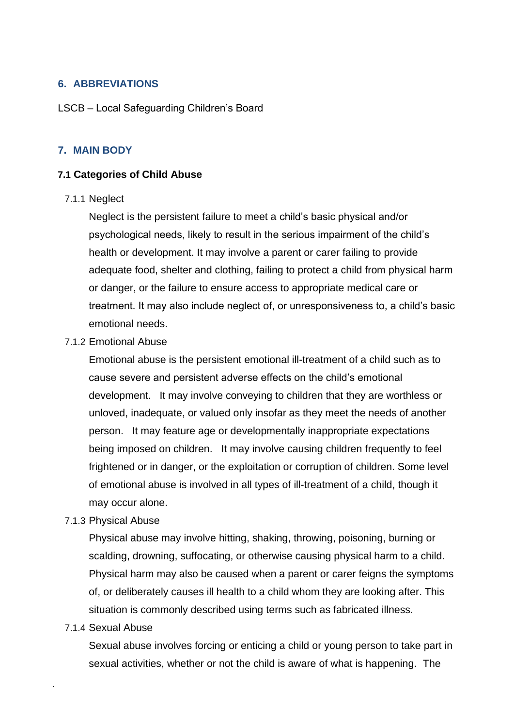# <span id="page-7-0"></span>**6. ABBREVIATIONS**

#### LSCB – Local Safeguarding Children's Board

## <span id="page-7-1"></span>**7. MAIN BODY**

#### <span id="page-7-2"></span>**7.1 Categories of Child Abuse**

#### 7.1.1 Neglect

Neglect is the persistent failure to meet a child's basic physical and/or psychological needs, likely to result in the serious impairment of the child's health or development. It may involve a parent or carer failing to provide adequate food, shelter and clothing, failing to protect a child from physical harm or danger, or the failure to ensure access to appropriate medical care or treatment. It may also include neglect of, or unresponsiveness to, a child's basic emotional needs.

#### 7.1.2 Emotional Abuse

Emotional abuse is the persistent emotional ill-treatment of a child such as to cause severe and persistent adverse effects on the child's emotional development. It may involve conveying to children that they are worthless or unloved, inadequate, or valued only insofar as they meet the needs of another person. It may feature age or developmentally inappropriate expectations being imposed on children. It may involve causing children frequently to feel frightened or in danger, or the exploitation or corruption of children. Some level of emotional abuse is involved in all types of ill-treatment of a child, though it may occur alone.

#### 7.1.3 Physical Abuse

Physical abuse may involve hitting, shaking, throwing, poisoning, burning or scalding, drowning, suffocating, or otherwise causing physical harm to a child. Physical harm may also be caused when a parent or carer feigns the symptoms of, or deliberately causes ill health to a child whom they are looking after. This situation is commonly described using terms such as fabricated illness.

#### 7.1.4 Sexual Abuse

.

Sexual abuse involves forcing or enticing a child or young person to take part in sexual activities, whether or not the child is aware of what is happening. The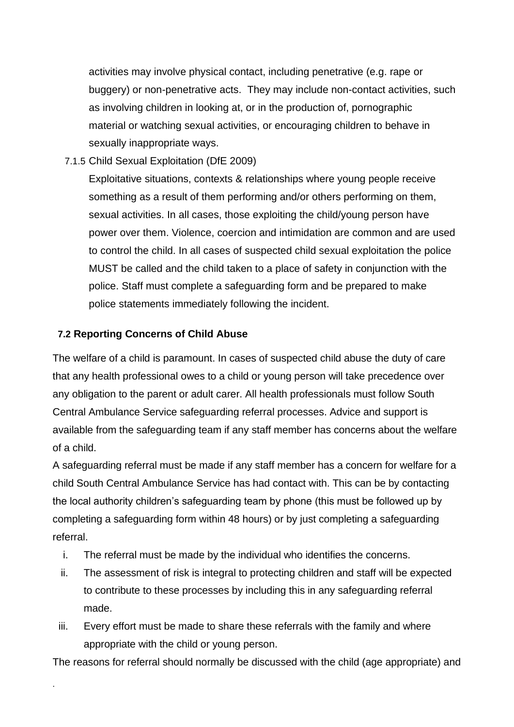activities may involve physical contact, including penetrative (e.g. rape or buggery) or non-penetrative acts. They may include non-contact activities, such as involving children in looking at, or in the production of, pornographic material or watching sexual activities, or encouraging children to behave in sexually inappropriate ways.

7.1.5 Child Sexual Exploitation (DfE 2009)

Exploitative situations, contexts & relationships where young people receive something as a result of them performing and/or others performing on them, sexual activities. In all cases, those exploiting the child/young person have power over them. Violence, coercion and intimidation are common and are used to control the child. In all cases of suspected child sexual exploitation the police MUST be called and the child taken to a place of safety in conjunction with the police. Staff must complete a safeguarding form and be prepared to make police statements immediately following the incident.

# <span id="page-8-0"></span>**7.2 Reporting Concerns of Child Abuse**

.

The welfare of a child is paramount. In cases of suspected child abuse the duty of care that any health professional owes to a child or young person will take precedence over any obligation to the parent or adult carer. All health professionals must follow South Central Ambulance Service safeguarding referral processes. Advice and support is available from the safeguarding team if any staff member has concerns about the welfare of a child.

A safeguarding referral must be made if any staff member has a concern for welfare for a child South Central Ambulance Service has had contact with. This can be by contacting the local authority children's safeguarding team by phone (this must be followed up by completing a safeguarding form within 48 hours) or by just completing a safeguarding referral.

- i. The referral must be made by the individual who identifies the concerns.
- ii. The assessment of risk is integral to protecting children and staff will be expected to contribute to these processes by including this in any safeguarding referral made.
- iii. Every effort must be made to share these referrals with the family and where appropriate with the child or young person.

The reasons for referral should normally be discussed with the child (age appropriate) and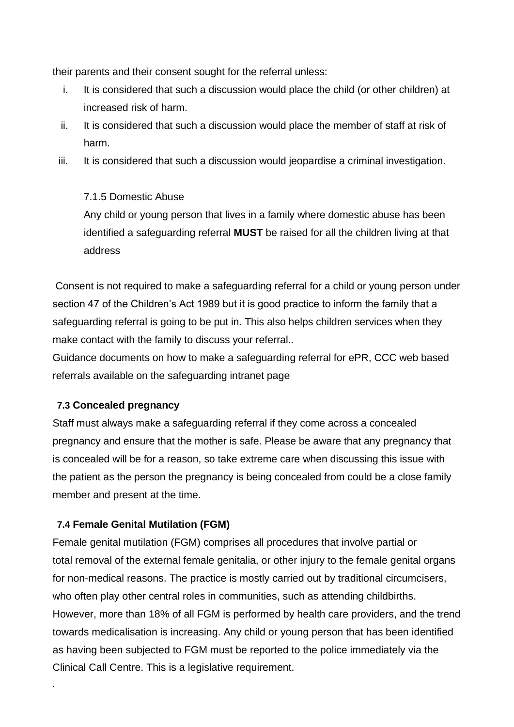their parents and their consent sought for the referral unless:

- i. It is considered that such a discussion would place the child (or other children) at increased risk of harm.
- ii. It is considered that such a discussion would place the member of staff at risk of harm.
- iii. It is considered that such a discussion would jeopardise a criminal investigation.

# 7.1.5 Domestic Abuse

Any child or young person that lives in a family where domestic abuse has been identified a safeguarding referral **MUST** be raised for all the children living at that address

Consent is not required to make a safeguarding referral for a child or young person under section 47 of the Children's Act 1989 but it is good practice to inform the family that a safeguarding referral is going to be put in. This also helps children services when they make contact with the family to discuss your referral..

Guidance documents on how to make a safeguarding referral for ePR, CCC web based referrals available on the safeguarding intranet page

# <span id="page-9-0"></span>**7.3 Concealed pregnancy**

.

Staff must always make a safeguarding referral if they come across a concealed pregnancy and ensure that the mother is safe. Please be aware that any pregnancy that is concealed will be for a reason, so take extreme care when discussing this issue with the patient as the person the pregnancy is being concealed from could be a close family member and present at the time.

# <span id="page-9-1"></span>**7.4 Female Genital Mutilation (FGM)**

Female genital mutilation (FGM) comprises all procedures that involve partial or total removal of the external female genitalia, or other injury to the female genital organs for non-medical reasons. The practice is mostly carried out by traditional circumcisers, who often play other central roles in communities, such as attending childbirths. However, more than 18% of all FGM is performed by health care providers, and the trend towards medicalisation is increasing. Any child or young person that has been identified as having been subjected to FGM must be reported to the police immediately via the Clinical Call Centre. This is a legislative requirement.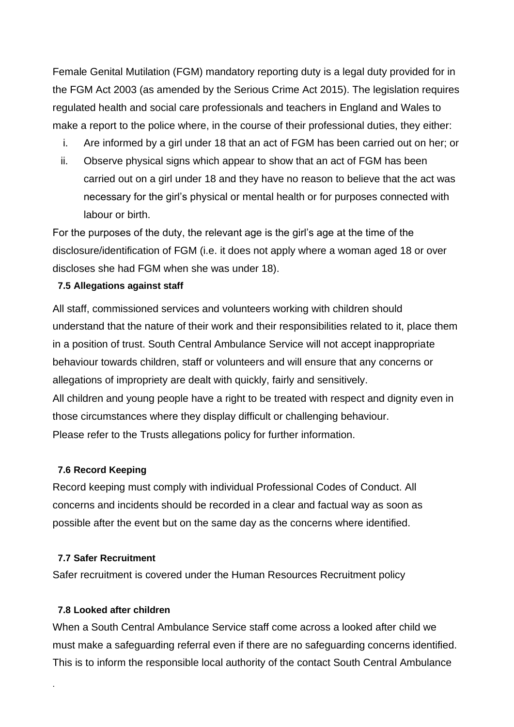Female Genital Mutilation (FGM) mandatory reporting duty is a legal duty provided for in the FGM Act 2003 (as amended by the Serious Crime Act 2015). The legislation requires regulated health and social care professionals and teachers in England and Wales to make a report to the police where, in the course of their professional duties, they either:

- i. Are informed by a girl under 18 that an act of FGM has been carried out on her; or
- ii. Observe physical signs which appear to show that an act of FGM has been carried out on a girl under 18 and they have no reason to believe that the act was necessary for the girl's physical or mental health or for purposes connected with labour or birth.

For the purposes of the duty, the relevant age is the girl's age at the time of the disclosure/identification of FGM (i.e. it does not apply where a woman aged 18 or over discloses she had FGM when she was under 18).

## <span id="page-10-0"></span>**7.5 Allegations against staff**

All staff, commissioned services and volunteers working with children should understand that the nature of their work and their responsibilities related to it, place them in a position of trust. South Central Ambulance Service will not accept inappropriate behaviour towards children, staff or volunteers and will ensure that any concerns or allegations of impropriety are dealt with quickly, fairly and sensitively. All children and young people have a right to be treated with respect and dignity even in those circumstances where they display difficult or challenging behaviour. Please refer to the Trusts allegations policy for further information.

## <span id="page-10-1"></span>**7.6 Record Keeping**

Record keeping must comply with individual Professional Codes of Conduct. All concerns and incidents should be recorded in a clear and factual way as soon as possible after the event but on the same day as the concerns where identified.

## <span id="page-10-2"></span>**7.7 Safer Recruitment**

Safer recruitment is covered under the Human Resources Recruitment policy

# <span id="page-10-3"></span>**7.8 Looked after children**

.

When a South Central Ambulance Service staff come across a looked after child we must make a safeguarding referral even if there are no safeguarding concerns identified. This is to inform the responsible local authority of the contact South Central Ambulance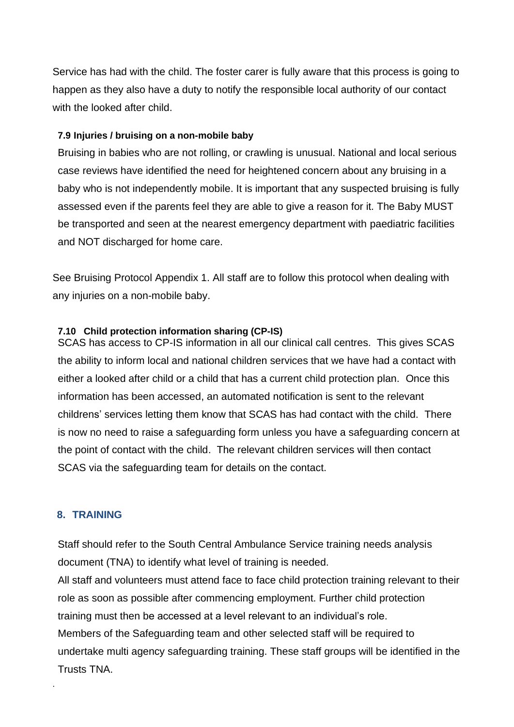Service has had with the child. The foster carer is fully aware that this process is going to happen as they also have a duty to notify the responsible local authority of our contact with the looked after child.

#### <span id="page-11-0"></span>**7.9 Injuries / bruising on a non-mobile baby**

Bruising in babies who are not rolling, or crawling is unusual. National and local serious case reviews have identified the need for heightened concern about any bruising in a baby who is not independently mobile. It is important that any suspected bruising is fully assessed even if the parents feel they are able to give a reason for it. The Baby MUST be transported and seen at the nearest emergency department with paediatric facilities and NOT discharged for home care.

See Bruising Protocol Appendix 1. All staff are to follow this protocol when dealing with any injuries on a non-mobile baby.

#### <span id="page-11-1"></span>**7.10 Child protection information sharing (CP-IS)**

SCAS has access to CP-IS information in all our clinical call centres. This gives SCAS the ability to inform local and national children services that we have had a contact with either a looked after child or a child that has a current child protection plan. Once this information has been accessed, an automated notification is sent to the relevant childrens' services letting them know that SCAS has had contact with the child. There is now no need to raise a safeguarding form unless you have a safeguarding concern at the point of contact with the child. The relevant children services will then contact SCAS via the safeguarding team for details on the contact.

## <span id="page-11-2"></span>**8. TRAINING**

.

Staff should refer to the South Central Ambulance Service training needs analysis document (TNA) to identify what level of training is needed.

All staff and volunteers must attend face to face child protection training relevant to their role as soon as possible after commencing employment. Further child protection training must then be accessed at a level relevant to an individual's role. Members of the Safeguarding team and other selected staff will be required to undertake multi agency safeguarding training. These staff groups will be identified in the Trusts TNA.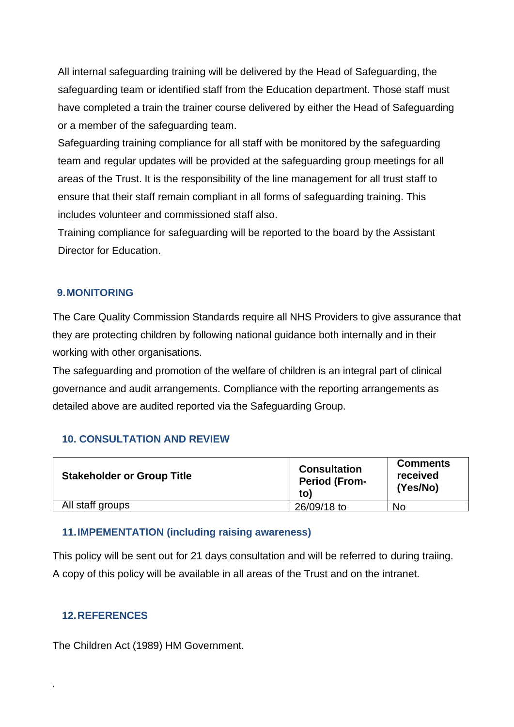All internal safeguarding training will be delivered by the Head of Safeguarding, the safeguarding team or identified staff from the Education department. Those staff must have completed a train the trainer course delivered by either the Head of Safeguarding or a member of the safeguarding team.

Safeguarding training compliance for all staff with be monitored by the safeguarding team and regular updates will be provided at the safeguarding group meetings for all areas of the Trust. It is the responsibility of the line management for all trust staff to ensure that their staff remain compliant in all forms of safeguarding training. This includes volunteer and commissioned staff also.

Training compliance for safeguarding will be reported to the board by the Assistant Director for Education.

# <span id="page-12-0"></span>**9.MONITORING**

The Care Quality Commission Standards require all NHS Providers to give assurance that they are protecting children by following national guidance both internally and in their working with other organisations.

The safeguarding and promotion of the welfare of children is an integral part of clinical governance and audit arrangements. Compliance with the reporting arrangements as detailed above are audited reported via the Safeguarding Group.

# <span id="page-12-1"></span>**10. CONSULTATION AND REVIEW**

| <b>Stakeholder or Group Title</b> | <b>Consultation</b><br><b>Period (From-</b><br>to) | <b>Comments</b><br>received<br>(Yes/No) |
|-----------------------------------|----------------------------------------------------|-----------------------------------------|
| All staff groups                  | 26/09/18 to                                        | No                                      |

# <span id="page-12-2"></span>**11.IMPEMENTATION (including raising awareness)**

This policy will be sent out for 21 days consultation and will be referred to during traiing. A copy of this policy will be available in all areas of the Trust and on the intranet.

# <span id="page-12-3"></span>**12.REFERENCES**

.

The Children Act (1989) HM Government.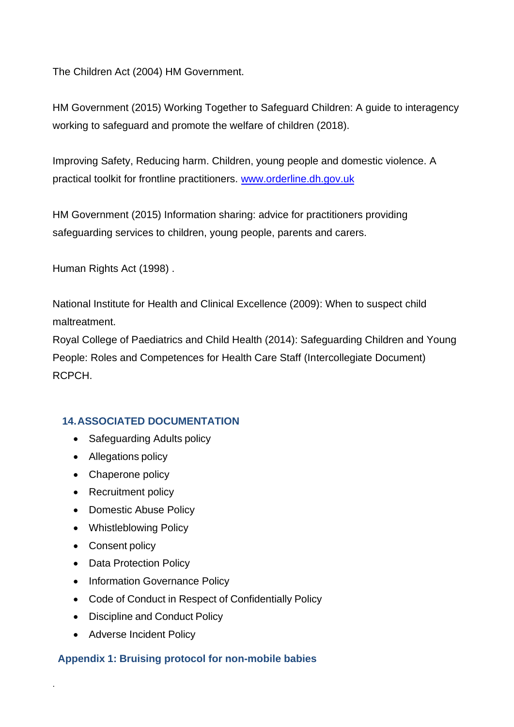The Children Act (2004) HM Government.

HM Government (2015) Working Together to Safeguard Children: A guide to interagency working to safeguard and promote the welfare of children (2018).

Improving Safety, Reducing harm. Children, young people and domestic violence. A practical toolkit for frontline practitioners. [www.orderline.dh.gov.uk](http://www.orderline.dh.gov.uk/)

HM Government (2015) Information sharing: advice for practitioners providing safeguarding services to children, young people, parents and carers.

Human Rights Act (1998) .

National Institute for Health and Clinical Excellence (2009): When to suspect child maltreatment.

Royal College of Paediatrics and Child Health (2014): Safeguarding Children and Young People: Roles and Competences for Health Care Staff (Intercollegiate Document) RCPCH.

# <span id="page-13-0"></span>**14.ASSOCIATED DOCUMENTATION**

- Safeguarding Adults policy
- Allegations policy
- Chaperone policy
- Recruitment policy
- Domestic Abuse Policy
- Whistleblowing Policy
- Consent policy

.

- Data Protection Policy
- Information Governance Policy
- Code of Conduct in Respect of Confidentially Policy
- Discipline and Conduct Policy
- Adverse Incident Policy

# <span id="page-13-1"></span>**Appendix 1: Bruising protocol for non-mobile babies**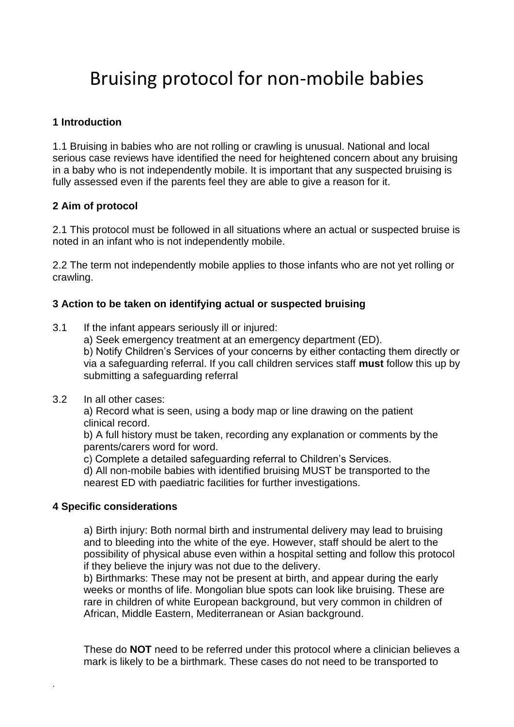# Bruising protocol for non-mobile babies

## **1 Introduction**

1.1 Bruising in babies who are not rolling or crawling is unusual. National and local serious case reviews have identified the need for heightened concern about any bruising in a baby who is not independently mobile. It is important that any suspected bruising is fully assessed even if the parents feel they are able to give a reason for it.

## **2 Aim of protocol**

2.1 This protocol must be followed in all situations where an actual or suspected bruise is noted in an infant who is not independently mobile.

2.2 The term not independently mobile applies to those infants who are not yet rolling or crawling.

## **3 Action to be taken on identifying actual or suspected bruising**

- 3.1 If the infant appears seriously ill or injured:
	- a) Seek emergency treatment at an emergency department (ED).

b) Notify Children's Services of your concerns by either contacting them directly or via a safeguarding referral. If you call children services staff **must** follow this up by submitting a safeguarding referral

#### 3.2 In all other cases:

a) Record what is seen, using a body map or line drawing on the patient clinical record.

b) A full history must be taken, recording any explanation or comments by the parents/carers word for word.

c) Complete a detailed safeguarding referral to Children's Services.

d) All non-mobile babies with identified bruising MUST be transported to the nearest ED with paediatric facilities for further investigations.

## **4 Specific considerations**

.

a) Birth injury: Both normal birth and instrumental delivery may lead to bruising and to bleeding into the white of the eye. However, staff should be alert to the possibility of physical abuse even within a hospital setting and follow this protocol if they believe the injury was not due to the delivery.

b) Birthmarks: These may not be present at birth, and appear during the early weeks or months of life. Mongolian blue spots can look like bruising. These are rare in children of white European background, but very common in children of African, Middle Eastern, Mediterranean or Asian background.

These do **NOT** need to be referred under this protocol where a clinician believes a mark is likely to be a birthmark. These cases do not need to be transported to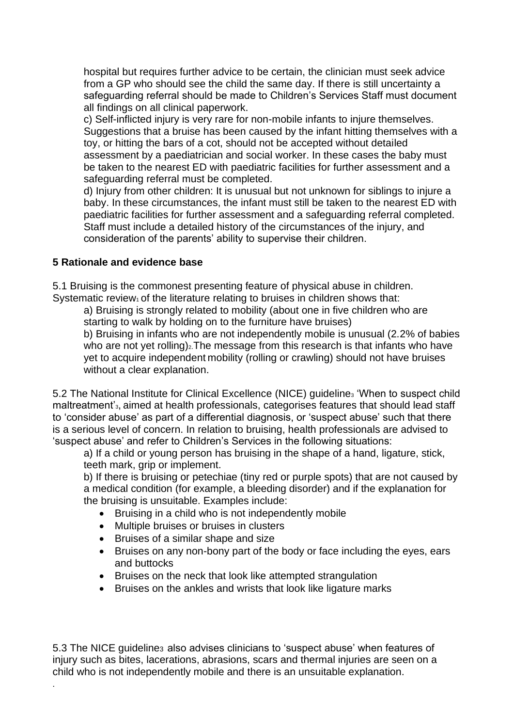hospital but requires further advice to be certain, the clinician must seek advice from a GP who should see the child the same day. If there is still uncertainty a safeguarding referral should be made to Children's Services Staff must document all findings on all clinical paperwork.

c) Self-inflicted injury is very rare for non-mobile infants to injure themselves. Suggestions that a bruise has been caused by the infant hitting themselves with a toy, or hitting the bars of a cot, should not be accepted without detailed assessment by a paediatrician and social worker. In these cases the baby must be taken to the nearest ED with paediatric facilities for further assessment and a safeguarding referral must be completed.

d) Injury from other children: It is unusual but not unknown for siblings to injure a baby. In these circumstances, the infant must still be taken to the nearest ED with paediatric facilities for further assessment and a safeguarding referral completed. Staff must include a detailed history of the circumstances of the injury, and consideration of the parents' ability to supervise their children.

## **5 Rationale and evidence base**

.

5.1 Bruising is the commonest presenting feature of physical abuse in children. Systematic review<sub>1</sub> of the literature relating to bruises in children shows that:

a) Bruising is strongly related to mobility (about one in five children who are starting to walk by holding on to the furniture have bruises)

b) Bruising in infants who are not independently mobile is unusual (2.2% of babies who are not yet rolling)<sub>2</sub>. The message from this research is that infants who have yet to acquire independent mobility (rolling or crawling) should not have bruises without a clear explanation.

5.2 The National Institute for Clinical Excellence (NICE) guideline<sub>3</sub> 'When to suspect child maltreatment'3, aimed at health professionals, categorises features that should lead staff to 'consider abuse' as part of a differential diagnosis, or 'suspect abuse' such that there is a serious level of concern. In relation to bruising, health professionals are advised to 'suspect abuse' and refer to Children's Services in the following situations:

a) If a child or young person has bruising in the shape of a hand, ligature, stick, teeth mark, grip or implement.

b) If there is bruising or petechiae (tiny red or purple spots) that are not caused by a medical condition (for example, a bleeding disorder) and if the explanation for the bruising is unsuitable. Examples include:

- Bruising in a child who is not independently mobile
- Multiple bruises or bruises in clusters
- Bruises of a similar shape and size
- Bruises on any non-bony part of the body or face including the eyes, ears and buttocks
- Bruises on the neck that look like attempted strangulation
- Bruises on the ankles and wrists that look like ligature marks

5.3 The NICE guideline3 also advises clinicians to 'suspect abuse' when features of injury such as bites, lacerations, abrasions, scars and thermal injuries are seen on a child who is not independently mobile and there is an unsuitable explanation.